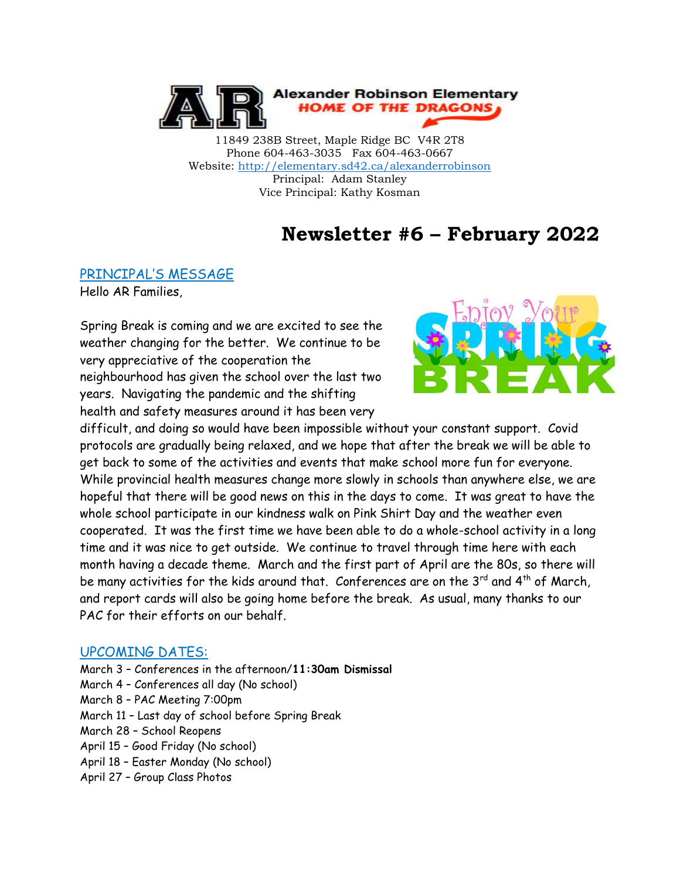

11849 238B Street, Maple Ridge BC V4R 2T8 Phone 604-463-3035 Fax 604-463-0667 Website:<http://elementary.sd42.ca/alexanderrobinson> Principal: Adam Stanley Vice Principal: Kathy Kosman

# **Newsletter #6 – February 2022**

#### PRINCIPAL'S MESSAGE

Hello AR Families,

Spring Break is coming and we are excited to see the weather changing for the better. We continue to be very appreciative of the cooperation the neighbourhood has given the school over the last two years. Navigating the pandemic and the shifting health and safety measures around it has been very



difficult, and doing so would have been impossible without your constant support. Covid protocols are gradually being relaxed, and we hope that after the break we will be able to get back to some of the activities and events that make school more fun for everyone. While provincial health measures change more slowly in schools than anywhere else, we are hopeful that there will be good news on this in the days to come. It was great to have the whole school participate in our kindness walk on Pink Shirt Day and the weather even cooperated. It was the first time we have been able to do a whole-school activity in a long time and it was nice to get outside. We continue to travel through time here with each month having a decade theme. March and the first part of April are the 80s, so there will be many activities for the kids around that. Conferences are on the  $3^{rd}$  and  $4^{th}$  of March, and report cards will also be going home before the break. As usual, many thanks to our PAC for their efforts on our behalf.

#### UPCOMING DATES:

March 3 – Conferences in the afternoon/**11:30am Dismissal** March 4 – Conferences all day (No school) March 8 – PAC Meeting 7:00pm March 11 – Last day of school before Spring Break March 28 – School Reopens April 15 – Good Friday (No school) April 18 – Easter Monday (No school) April 27 – Group Class Photos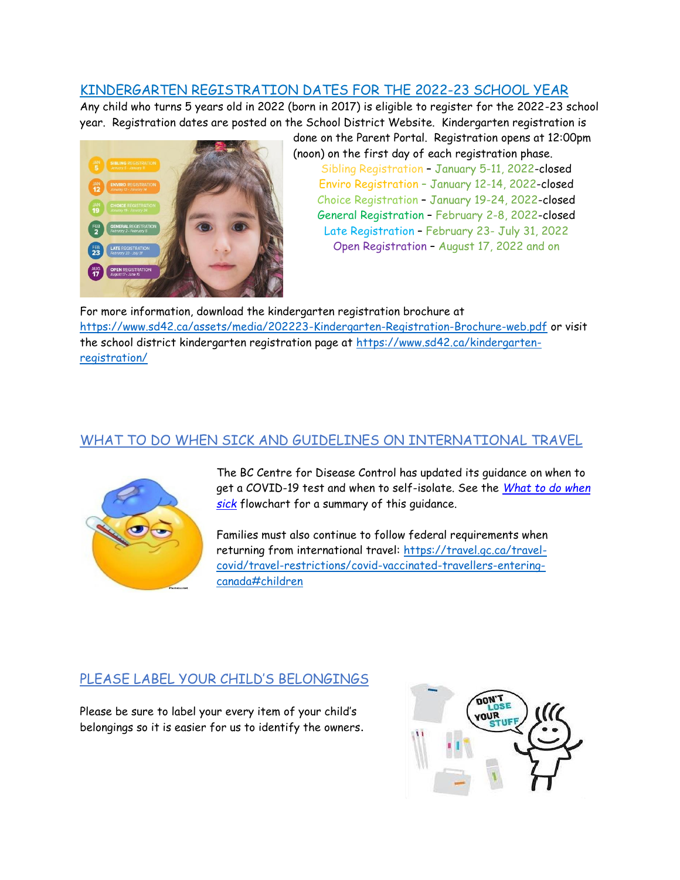## KINDERGARTEN REGISTRATION DATES FOR THE 2022-23 SCHOOL YEAR

Any child who turns 5 years old in 2022 (born in 2017) is eligible to register for the 2022-23 school year. Registration dates are posted on the School District Website. Kindergarten registration is



done on the Parent Portal. Registration opens at 12:00pm (noon) on the first day of each registration phase. Sibling Registration – January 5-11, 2022-closed Enviro Registration – January 12-14, 2022-closed Choice Registration – January 19-24, 2022-closed General Registration – February 2-8, 2022-closed Late Registration – February 23- July 31, 2022 Open Registration – August 17, 2022 and on

For more information, download the kindergarten registration brochure at <https://www.sd42.ca/assets/media/202223-Kindergarten-Registration-Brochure-web.pdf> or visit the school district kindergarten registration page at [https://www.sd42.ca/kindergarten](https://www.sd42.ca/kindergarten-registration/)[registration/](https://www.sd42.ca/kindergarten-registration/)

## WHAT TO DO WHEN SICK AND GUIDELINES ON INTERNATIONAL TRAVEL



The BC Centre for Disease Control has updated its guidance on when to get a COVID-19 test and when to self-isolate. See the *[What to do when](https://www.sd42.ca/assets/media/Daily-Health-Assessment-January-2022.pdf)  [sick](https://www.sd42.ca/assets/media/Daily-Health-Assessment-January-2022.pdf)* flowchart for a summary of this guidance.

Families must also continue to follow federal requirements when returning from international travel: [https://travel.gc.ca/travel](https://travel.gc.ca/travel-covid/travel-restrictions/covid-vaccinated-travellers-entering-canada#children)[covid/travel-restrictions/covid-vaccinated-travellers-entering](https://travel.gc.ca/travel-covid/travel-restrictions/covid-vaccinated-travellers-entering-canada#children)[canada#children](https://travel.gc.ca/travel-covid/travel-restrictions/covid-vaccinated-travellers-entering-canada#children)

### PLEASE LABEL YOUR CHILD'S BELONGINGS

Please be sure to label your every item of your child's belongings so it is easier for us to identify the owners.